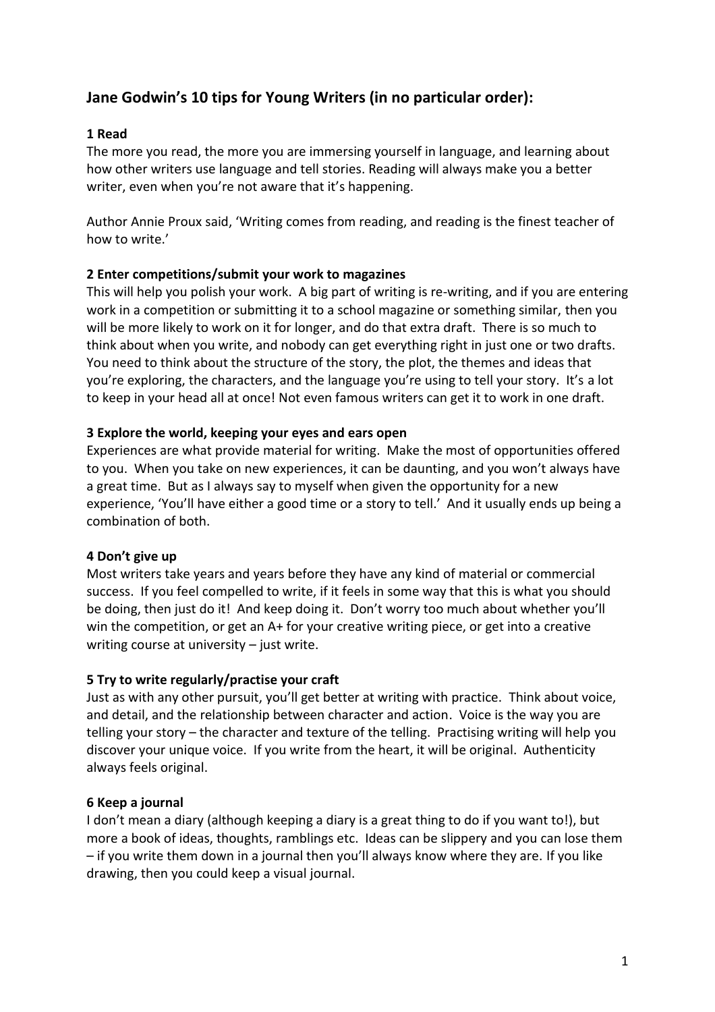# **Jane Godwin's 10 tips for Young Writers (in no particular order):**

## **1 Read**

The more you read, the more you are immersing yourself in language, and learning about how other writers use language and tell stories. Reading will always make you a better writer, even when you're not aware that it's happening.

Author Annie Proux said, 'Writing comes from reading, and reading is the finest teacher of how to write.'

## **2 Enter competitions/submit your work to magazines**

This will help you polish your work. A big part of writing is re-writing, and if you are entering work in a competition or submitting it to a school magazine or something similar, then you will be more likely to work on it for longer, and do that extra draft. There is so much to think about when you write, and nobody can get everything right in just one or two drafts. You need to think about the structure of the story, the plot, the themes and ideas that you're exploring, the characters, and the language you're using to tell your story. It's a lot to keep in your head all at once! Not even famous writers can get it to work in one draft.

## **3 Explore the world, keeping your eyes and ears open**

Experiences are what provide material for writing. Make the most of opportunities offered to you. When you take on new experiences, it can be daunting, and you won't always have a great time. But as I always say to myself when given the opportunity for a new experience, 'You'll have either a good time or a story to tell.' And it usually ends up being a combination of both.

## **4 Don't give up**

Most writers take years and years before they have any kind of material or commercial success. If you feel compelled to write, if it feels in some way that this is what you should be doing, then just do it! And keep doing it. Don't worry too much about whether you'll win the competition, or get an A+ for your creative writing piece, or get into a creative writing course at university – just write.

## **5 Try to write regularly/practise your craft**

Just as with any other pursuit, you'll get better at writing with practice. Think about voice, and detail, and the relationship between character and action. Voice is the way you are telling your story – the character and texture of the telling. Practising writing will help you discover your unique voice. If you write from the heart, it will be original. Authenticity always feels original.

## **6 Keep a journal**

I don't mean a diary (although keeping a diary is a great thing to do if you want to!), but more a book of ideas, thoughts, ramblings etc. Ideas can be slippery and you can lose them – if you write them down in a journal then you'll always know where they are. If you like drawing, then you could keep a visual journal.